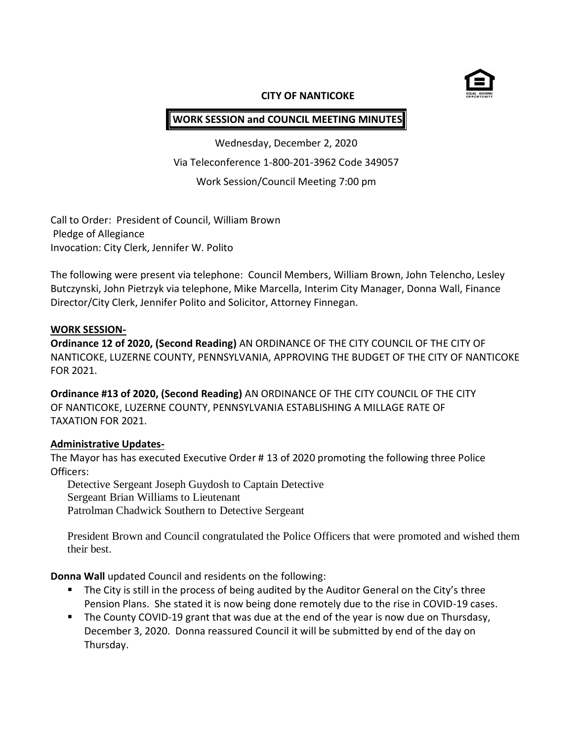

## **CITY OF NANTICOKE**

# **WORK SESSION and COUNCIL MEETING MINUTES**

Wednesday, December 2, 2020 Via Teleconference 1-800-201-3962 Code 349057 Work Session/Council Meeting 7:00 pm

Call to Order: President of Council, William Brown Pledge of Allegiance Invocation: City Clerk, Jennifer W. Polito

The following were present via telephone: Council Members, William Brown, John Telencho, Lesley Butczynski, John Pietrzyk via telephone, Mike Marcella, Interim City Manager, Donna Wall, Finance Director/City Clerk, Jennifer Polito and Solicitor, Attorney Finnegan.

#### **WORK SESSION-**

**Ordinance 12 of 2020, (Second Reading)** AN ORDINANCE OF THE CITY COUNCIL OF THE CITY OF NANTICOKE, LUZERNE COUNTY, PENNSYLVANIA, APPROVING THE BUDGET OF THE CITY OF NANTICOKE FOR 2021.

**Ordinance #13 of 2020, (Second Reading)** AN ORDINANCE OF THE CITY COUNCIL OF THE CITY OF NANTICOKE, LUZERNE COUNTY, PENNSYLVANIA ESTABLISHING A MILLAGE RATE OF TAXATION FOR 2021.

## **Administrative Updates-**

The Mayor has has executed Executive Order # 13 of 2020 promoting the following three Police Officers:

Detective Sergeant Joseph Guydosh to Captain Detective Sergeant Brian Williams to Lieutenant Patrolman Chadwick Southern to Detective Sergeant

President Brown and Council congratulated the Police Officers that were promoted and wished them their best.

**Donna Wall** updated Council and residents on the following:

- **The City is still in the process of being audited by the Auditor General on the City's three** Pension Plans. She stated it is now being done remotely due to the rise in COVID-19 cases.
- The County COVID-19 grant that was due at the end of the year is now due on Thursdasy, December 3, 2020. Donna reassured Council it will be submitted by end of the day on Thursday.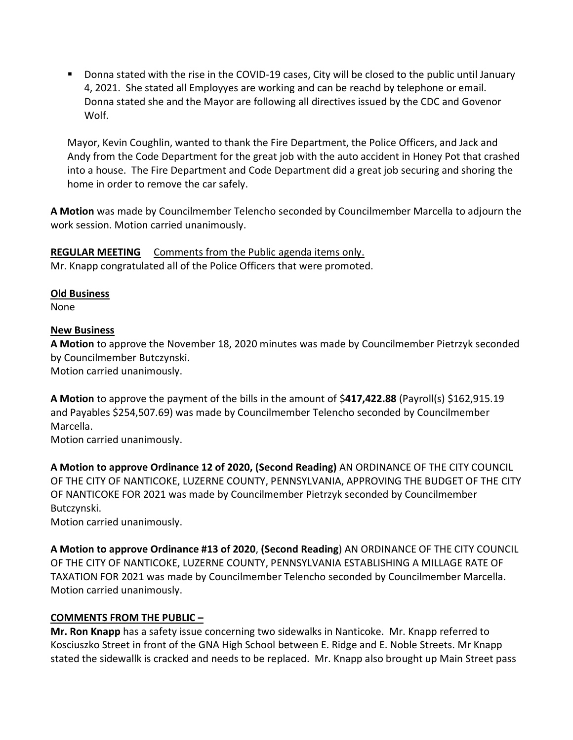Donna stated with the rise in the COVID-19 cases, City will be closed to the public until January 4, 2021. She stated all Employyes are working and can be reachd by telephone or email. Donna stated she and the Mayor are following all directives issued by the CDC and Govenor Wolf.

Mayor, Kevin Coughlin, wanted to thank the Fire Department, the Police Officers, and Jack and Andy from the Code Department for the great job with the auto accident in Honey Pot that crashed into a house. The Fire Department and Code Department did a great job securing and shoring the home in order to remove the car safely.

**A Motion** was made by Councilmember Telencho seconded by Councilmember Marcella to adjourn the work session. Motion carried unanimously.

**REGULAR MEETING** Comments from the Public agenda items only. Mr. Knapp congratulated all of the Police Officers that were promoted.

**Old Business**

None

# **New Business**

**A Motion** to approve the November 18, 2020 minutes was made by Councilmember Pietrzyk seconded by Councilmember Butczynski.

Motion carried unanimously.

**A Motion** to approve the payment of the bills in the amount of \$**417,422.88** (Payroll(s) \$162,915.19 and Payables \$254,507.69) was made by Councilmember Telencho seconded by Councilmember Marcella.

Motion carried unanimously.

**A Motion to approve Ordinance 12 of 2020, (Second Reading)** AN ORDINANCE OF THE CITY COUNCIL OF THE CITY OF NANTICOKE, LUZERNE COUNTY, PENNSYLVANIA, APPROVING THE BUDGET OF THE CITY OF NANTICOKE FOR 2021 was made by Councilmember Pietrzyk seconded by Councilmember Butczynski.

Motion carried unanimously.

**A Motion to approve Ordinance #13 of 2020**, **(Second Reading**) AN ORDINANCE OF THE CITY COUNCIL OF THE CITY OF NANTICOKE, LUZERNE COUNTY, PENNSYLVANIA ESTABLISHING A MILLAGE RATE OF TAXATION FOR 2021 was made by Councilmember Telencho seconded by Councilmember Marcella. Motion carried unanimously.

# **COMMENTS FROM THE PUBLIC –**

**Mr. Ron Knapp** has a safety issue concerning two sidewalks in Nanticoke. Mr. Knapp referred to Kosciuszko Street in front of the GNA High School between E. Ridge and E. Noble Streets. Mr Knapp stated the sidewallk is cracked and needs to be replaced. Mr. Knapp also brought up Main Street pass